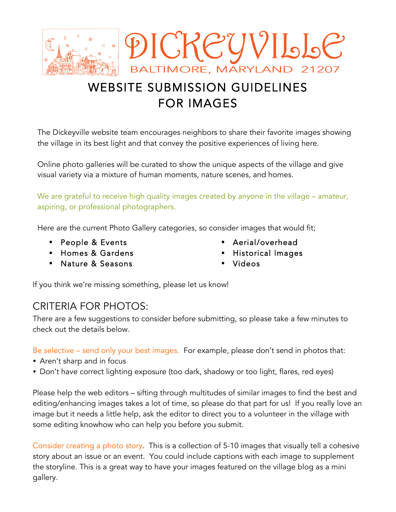

# WEBSITE SUBMISSION GUIDELINES FOR IMAGES

The Dickeyville website team encourages neighbors to share their favorite images showing the village in its best light and that convey the positive experiences of living here.

Online photo galleries will be curated to show the unique aspects of the village and give visual variety via a mixture of human moments, nature scenes, and homes.

We are grateful to receive high quality images created by anyone in the village – amateur, aspiring, or professional photographers.

Here are the current Photo Gallery categories, so consider images that would fit;

- ! People & Events
- ! Homes & Gardens
- ! Nature & Seasons
- Aerial/overhead
- ! Historical Images
- **Videos**

If you think we're missing something, please let us know!

# CRITERIA FOR PHOTOS:

There are a few suggestions to consider before submitting, so please take a few minutes to check out the details below.

Be selective – send only your best images. For example, please don't send in photos that:

- Aren't sharp and in focus
- Don't have correct lighting exposure (too dark, shadowy or too light, flares, red eyes)

Please help the web editors – sifting through multitudes of similar images to find the best and editing/enhancing images takes a lot of time, so please do that part for us! If you really love an image but it needs a little help, ask the editor to direct you to a volunteer in the village with some editing knowhow who can help you before you submit.

Consider creating a photo story. This is a collection of 5-10 images that visually tell a cohesive story about an issue or an event. You could include captions with each image to supplement the storyline. This is a great way to have your images featured on the village blog as a mini gallery.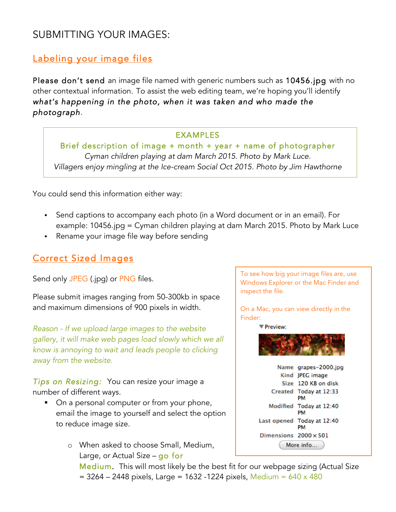# SUBMITTING YOUR IMAGES:

# Labeling your image files

Please don't send an image file named with generic numbers such as 10456.jpg with no other contextual information. To assist the web editing team, we're hoping you'll identify *what's happening in the photo, when it was taken and who made the photograph.* 

#### EXAMPLES

Brief description of image + month + year + name of photographer *Cyman children playing at dam March 2015. Photo by Mark Luce. Villagers enjoy mingling at the Ice-cream Social Oct 2015. Photo by Jim Hawthorne*

You could send this information either way:

- Send captions to accompany each photo (in a Word document or in an email). For example: 10456.jpg = Cyman children playing at dam March 2015. Photo by Mark Luce
- Rename your image file way before sending

### Correct Sized Images

Send only JPEG (.jpg) or PNG files.

Please submit images ranging from 50-300kb in space and maximum dimensions of 900 pixels in width.

*Reason - If we upload large images to the website gallery, it will make web pages load slowly which we all know is annoying to wait and leads people to clicking away from the website.*

*Tips on Resizing:* You can resize your image a number of different ways.

- On a personal computer or from your phone, email the image to yourself and select the option to reduce image size.
	- o When asked to choose Small, Medium, Large, or Actual Size – go for

To see how big your image files are, use Windows Explorer or the Mac Finder and inspect the file.

On a Mac, you can view directly in the Finder:

Preview:



Medium. This will most likely be the best fit for our webpage sizing (Actual Size  $= 3264 - 2448$  pixels, Large = 1632 -1224 pixels, Medium = 640 x 480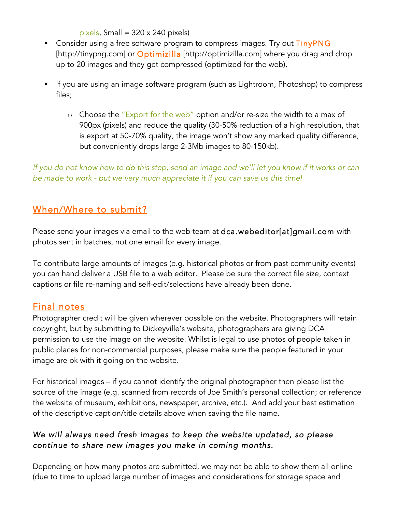pixels, Small =  $320 \times 240$  pixels)

- **EXP** Consider using a free software program to compress images. Try out TinyPNG [http://tinypng.com] or Optimizilla [http://optimizilla.com] where you drag and drop up to 20 images and they get compressed (optimized for the web).
- ! If you are using an image software program (such as Lightroom, Photoshop) to compress files;
	- o Choose the "Export for the web" option and/or re-size the width to a max of 900px (pixels) and reduce the quality (30-50% reduction of a high resolution, that is export at 50-70% quality, the image won't show any marked quality difference, but conveniently drops large 2-3Mb images to 80-150kb).

*If you do not know how to do this step, send an image and we'll let you know if it works or can be made to work - but we very much appreciate it if you can save us this time!*

## When/Where to submit?

Please send your images via email to the web team at dca.webeditor[at]gmail.com with photos sent in batches, not one email for every image.

To contribute large amounts of images (e.g. historical photos or from past community events) you can hand deliver a USB file to a web editor. Please be sure the correct file size, context captions or file re-naming and self-edit/selections have already been done.

# Final notes

Photographer credit will be given wherever possible on the website. Photographers will retain copyright, but by submitting to Dickeyville's website, photographers are giving DCA permission to use the image on the website. Whilst is legal to use photos of people taken in public places for non-commercial purposes, please make sure the people featured in your image are ok with it going on the website.

For historical images – if you cannot identify the original photographer then please list the source of the image (e.g. scanned from records of Joe Smith's personal collection; or reference the website of museum, exhibitions, newspaper, archive, etc.). And add your best estimation of the descriptive caption/title details above when saving the file name.

#### *We will always need fresh images to keep the website updated, so please continue to share new images you make in coming months.*

Depending on how many photos are submitted, we may not be able to show them all online (due to time to upload large number of images and considerations for storage space and